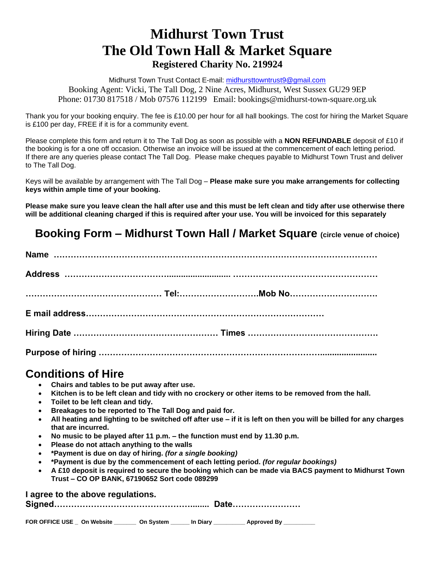# **Midhurst Town Trust The Old Town Hall & Market Square Registered Charity No. 219924**

Midhurst Town Trust Contact E-mail: [midhursttowntrust9@gmail.com](mailto:midhursttowntrust9@gmail.com) Booking Agent: Vicki, The Tall Dog, 2 Nine Acres, Midhurst, West Sussex GU29 9EP Phone: 01730 817518 / Mob 07576 112199 Email: bookings@midhurst-town-square.org.uk

Thank you for your booking enquiry. The fee is £10.00 per hour for all hall bookings. The cost for hiring the Market Square is £100 per day, FREE if it is for a community event.

Please complete this form and return it to The Tall Dog as soon as possible with a **NON REFUNDABLE** deposit of £10 if the booking is for a one off occasion. Otherwise an invoice will be issued at the commencement of each letting period. If there are any queries please contact The Tall Dog. Please make cheques payable to Midhurst Town Trust and deliver to The Tall Dog.

Keys will be available by arrangement with The Tall Dog – **Please make sure you make arrangements for collecting keys within ample time of your booking.**

**Please make sure you leave clean the hall after use and this must be left clean and tidy after use otherwise there will be additional cleaning charged if this is required after your use. You will be invoiced for this separately**

## **Booking Form – Midhurst Town Hall / Market Square (circle venue of choice)**

## **Conditions of Hire**

- **Chairs and tables to be put away after use.**
- **Kitchen is to be left clean and tidy with no crockery or other items to be removed from the hall.**
- **Toilet to be left clean and tidy.**
- **Breakages to be reported to The Tall Dog and paid for.**
- **All heating and lighting to be switched off after use – if it is left on then you will be billed for any charges that are incurred.**
- **No music to be played after 11 p.m. – the function must end by 11.30 p.m.**
- **Please do not attach anything to the walls**
- **\*Payment is due on day of hiring.** *(for a single booking)*
- **\*Payment is due by the commencement of each letting period.** *(for regular bookings)*
- **A £10 deposit is required to secure the booking which can be made via BACS payment to Midhurst Town Trust – CO OP BANK, 67190652 Sort code 089299**

#### **I agree to the above regulations.**

|--|--|

| FOR OFFICE USE On Website |  | On System | In Diary | Approved By |
|---------------------------|--|-----------|----------|-------------|
|---------------------------|--|-----------|----------|-------------|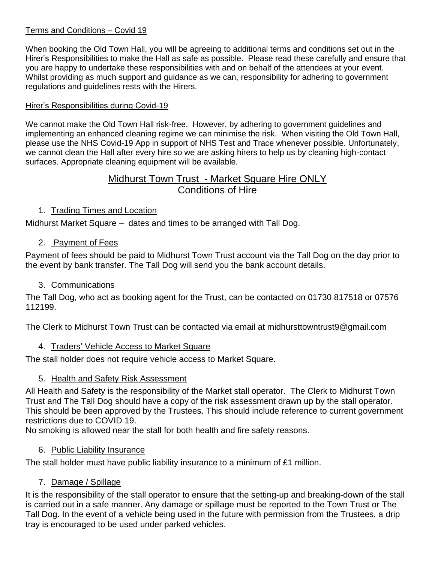#### Terms and Conditions – Covid 19

When booking the Old Town Hall, you will be agreeing to additional terms and conditions set out in the Hirer's Responsibilities to make the Hall as safe as possible. Please read these carefully and ensure that you are happy to undertake these responsibilities with and on behalf of the attendees at your event. Whilst providing as much support and guidance as we can, responsibility for adhering to government regulations and guidelines rests with the Hirers.

#### Hirer's Responsibilities during Covid-19

We cannot make the Old Town Hall risk-free. However, by adhering to government guidelines and implementing an enhanced cleaning regime we can minimise the risk. When visiting the Old Town Hall, please use the NHS Covid-19 App in support of NHS Test and Trace whenever possible. Unfortunately, we cannot clean the Hall after every hire so we are asking hirers to help us by cleaning high-contact surfaces. Appropriate cleaning equipment will be available.

### Midhurst Town Trust - Market Square Hire ONLY Conditions of Hire

#### 1. Trading Times and Location

Midhurst Market Square – dates and times to be arranged with Tall Dog.

#### 2. Payment of Fees

Payment of fees should be paid to Midhurst Town Trust account via the Tall Dog on the day prior to the event by bank transfer. The Tall Dog will send you the bank account details.

#### 3. Communications

The Tall Dog, who act as booking agent for the Trust, can be contacted on 01730 817518 or 07576 112199.

The Clerk to Midhurst Town Trust can be contacted via email at midhursttowntrust9@gmail.com

#### 4. Traders' Vehicle Access to Market Square

The stall holder does not require vehicle access to Market Square.

#### 5. Health and Safety Risk Assessment

All Health and Safety is the responsibility of the Market stall operator. The Clerk to Midhurst Town Trust and The Tall Dog should have a copy of the risk assessment drawn up by the stall operator. This should be been approved by the Trustees. This should include reference to current government restrictions due to COVID 19.

No smoking is allowed near the stall for both health and fire safety reasons.

#### 6. Public Liability Insurance

The stall holder must have public liability insurance to a minimum of £1 million.

#### 7. Damage / Spillage

It is the responsibility of the stall operator to ensure that the setting-up and breaking-down of the stall is carried out in a safe manner. Any damage or spillage must be reported to the Town Trust or The Tall Dog. In the event of a vehicle being used in the future with permission from the Trustees, a drip tray is encouraged to be used under parked vehicles.